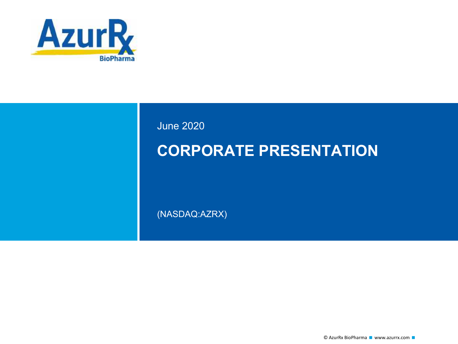

June 2020

# **CORPORATE PRESENTATION**

(NASDAQ:AZRX)

© AzurRx BioPharma ■ www.azurrx.com ■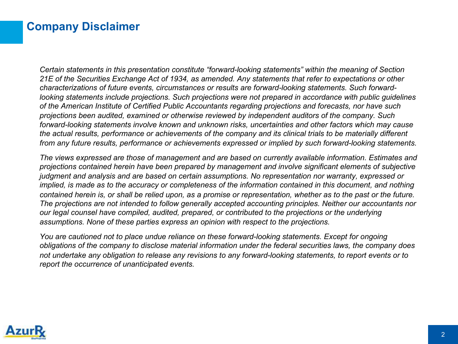### **Company Disclaimer**

*Certain statements in this presentation constitute "forward-looking statements" within the meaning of Section 21E of the Securities Exchange Act of 1934, as amended. Any statements that refer to expectations or other characterizations of future events, circumstances or results are forward-looking statements. Such forwardlooking statements include projections. Such projections were not prepared in accordance with public guidelines of the American Institute of Certified Public Accountants regarding projections and forecasts, nor have such projections been audited, examined or otherwise reviewed by independent auditors of the company. Such forward-looking statements involve known and unknown risks, uncertainties and other factors which may cause the actual results, performance or achievements of the company and its clinical trials to be materially different from any future results, performance or achievements expressed or implied by such forward-looking statements.* 

*The views expressed are those of management and are based on currently available information. Estimates and projections contained herein have been prepared by management and involve significant elements of subjective judgment and analysis and are based on certain assumptions. No representation nor warranty, expressed or implied, is made as to the accuracy or completeness of the information contained in this document, and nothing contained herein is, or shall be relied upon, as a promise or representation, whether as to the past or the future. The projections are not intended to follow generally accepted accounting principles. Neither our accountants nor our legal counsel have compiled, audited, prepared, or contributed to the projections or the underlying assumptions. None of these parties express an opinion with respect to the projections.* 

*You are cautioned not to place undue reliance on these forward-looking statements. Except for ongoing obligations of the company to disclose material information under the federal securities laws, the company does not undertake any obligation to release any revisions to any forward-looking statements, to report events or to report the occurrence of unanticipated events.*

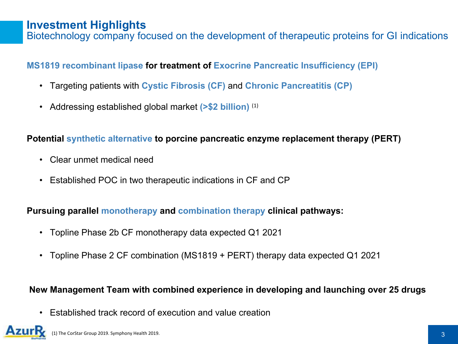### **Investment Highlights**

Biotechnology company focused on the development of therapeutic proteins for GI indications

### **MS1819 recombinant lipase for treatment of Exocrine Pancreatic Insufficiency (EPI)**

- Targeting patients with **Cystic Fibrosis (CF)** and **Chronic Pancreatitis (CP)**
- Addressing established global market **(>\$2 billion)** (1)

### **Potential synthetic alternative to porcine pancreatic enzyme replacement therapy (PERT)**

- Clear unmet medical need
- Established POC in two therapeutic indications in CF and CP

### **Pursuing parallel monotherapy and combination therapy clinical pathways:**

- Topline Phase 2b CF monotherapy data expected Q1 2021
- Topline Phase 2 CF combination (MS1819 + PERT) therapy data expected Q1 2021

### **New Management Team with combined experience in developing and launching over 25 drugs**

• Established track record of execution and value creation

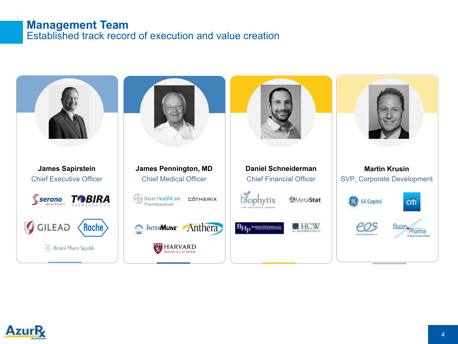### **Management Team** Established track record of execution and value creation



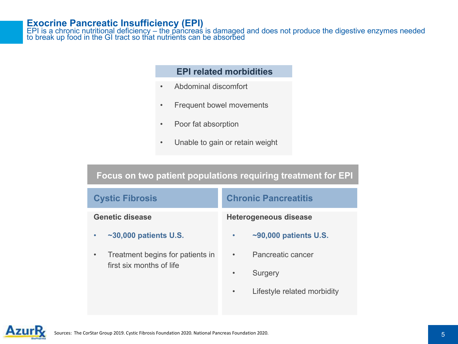#### **Exocrine Pancreatic Insufficiency (EPI)**

EPI is a chronic nutritional deficiency – the pancreas is damaged and does not produce the digestive enzymes needed<br>to break up food in the GI tract so that nutrients can be absorbed

#### **EPI related morbidities**

- Abdominal discomfort
- Frequent bowel movements
- Poor fat absorption
- Unable to gain or retain weight

### **Focus on two patient populations requiring treatment for EPI**

| <b>Cystic Fibrosis</b>                                       | <b>Chronic Pancreatitis</b>                            |
|--------------------------------------------------------------|--------------------------------------------------------|
| <b>Genetic disease</b>                                       | <b>Heterogeneous disease</b>                           |
| $\sim$ 30,000 patients U.S.                                  | $\sim$ 90,000 patients U.S.<br>$\bullet$               |
| Treatment begins for patients in<br>first six months of life | Pancreatic cancer<br>$\bullet$<br>Surgery<br>$\bullet$ |
|                                                              | Lifestyle related morbidity<br>$\bullet$               |

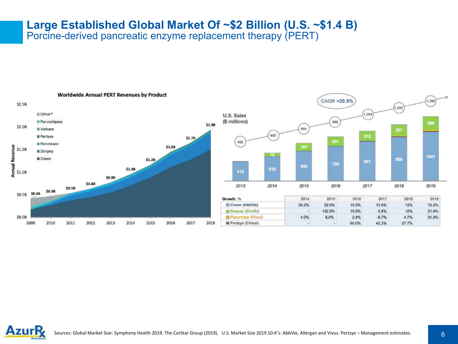# **Large Established Global Market Of ~\$2 Billion (U.S. ~\$1.4 B)**

Porcine-derived pancreatic enzyme replacement therapy (PERT)



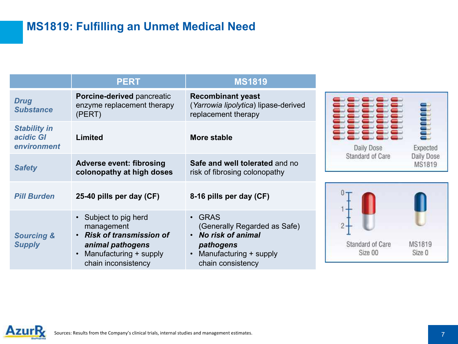## **MS1819: Fulfilling an Unmet Medical Need**

|                                                 | <b>PERT</b>                                                                                                                 | <b>MS1819</b>                                                                                                           |
|-------------------------------------------------|-----------------------------------------------------------------------------------------------------------------------------|-------------------------------------------------------------------------------------------------------------------------|
| <b>Drug</b><br><b>Substance</b>                 | <b>Porcine-derived pancreatic</b><br>enzyme replacement therapy<br>(PERT)                                                   | <b>Recombinant yeast</b><br>(Yarrowia lipolytica) lipase-derived<br>replacement therapy                                 |
| <b>Stability in</b><br>acidic GI<br>environment | Limited                                                                                                                     | More stable                                                                                                             |
| <b>Safety</b>                                   | <b>Adverse event: fibrosing</b><br>colonopathy at high doses                                                                | Safe and well tolerated and no<br>risk of fibrosing colonopathy                                                         |
| <b>Pill Burden</b>                              | 25-40 pills per day (CF)                                                                                                    | 8-16 pills per day (CF)                                                                                                 |
| <b>Sourcing &amp;</b><br><b>Supply</b>          | • Subject to pig herd<br>management<br>• Risk of transmission of<br>animal pathogens<br>Manufacturing + supply<br>$\bullet$ | $\cdot$ GRAS<br>(Generally Regarded as Safe)<br>• No risk of animal<br>pathogens<br>Manufacturing + supply<br>$\bullet$ |

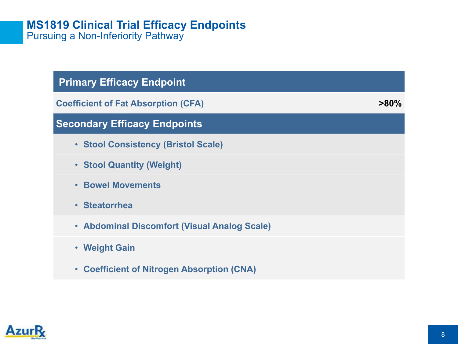### **MS1819 Clinical Trial Efficacy Endpoints**  Pursuing a Non-Inferiority Pathway

| <b>Primary Efficacy Endpoint</b>             |         |
|----------------------------------------------|---------|
| <b>Coefficient of Fat Absorption (CFA)</b>   | $>80\%$ |
| <b>Secondary Efficacy Endpoints</b>          |         |
| • Stool Consistency (Bristol Scale)          |         |
| • Stool Quantity (Weight)                    |         |
| <b>• Bowel Movements</b>                     |         |
| • Steatorrhea                                |         |
| • Abdominal Discomfort (Visual Analog Scale) |         |
| • Weight Gain                                |         |
| • Coefficient of Nitrogen Absorption (CNA)   |         |
|                                              |         |

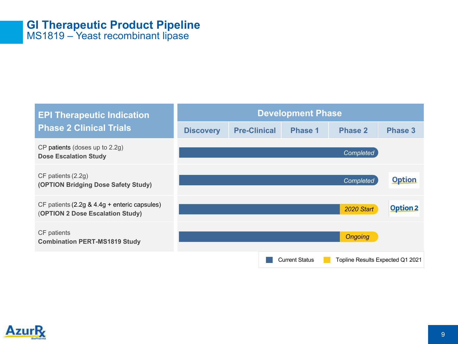### **GI Therapeutic Product Pipeline** MS1819 – Yeast recombinant lipase

#### **Development Phase EPI Therapeutic Indication Phase 2 Clinical Trials Discovery Pre-Clinical Phase 1 Phase 2 Phase 3** CP patients (doses up to 2.2g) *Completed* **Dose Escalation Study** CF patients (2.2g) **Option** *Completed* **(OPTION Bridging Dose Safety Study)** CF patients (2.2g & 4.4g + enteric capsules) **Option 2** *2020 Start* (**OPTION 2 Dose Escalation Study)** CF patients *Ongoing* **Combination PERT-MS1819 Study** Current Status **Topline Results Expected Q1 2021**

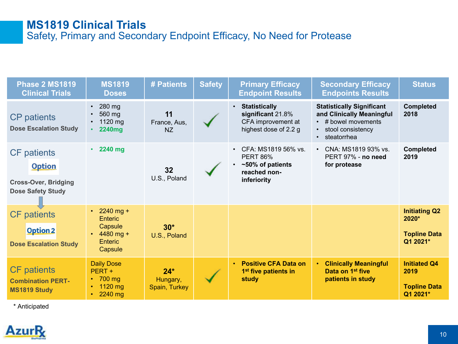### **MS1819 Clinical Trials**  Safety, Primary and Secondary Endpoint Efficacy, No Need for Protease

| <b>Phase 2 MS1819</b><br><b>Clinical Trials</b>                                                | <b>MS1819</b><br><b>Doses</b>                                                       | # Patients                         | <b>Safety</b> | <b>Primary Efficacy</b><br><b>Endpoint Results</b>                                                     | <b>Secondary Efficacy</b><br><b>Endpoints Results</b>                                                                                       | <b>Status</b>                                                    |
|------------------------------------------------------------------------------------------------|-------------------------------------------------------------------------------------|------------------------------------|---------------|--------------------------------------------------------------------------------------------------------|---------------------------------------------------------------------------------------------------------------------------------------------|------------------------------------------------------------------|
| <b>CP</b> patients<br><b>Dose Escalation Study</b>                                             | $\cdot$ 280 mg<br>560 mg<br>• 1120 mg<br>$\cdot$ 2240mg                             | 11<br>France, Aus,<br>NZ           |               | <b>Statistically</b><br>$\bullet$<br>significant 21.8%<br>CFA improvement at<br>highest dose of 2.2 g  | <b>Statistically Significant</b><br>and Clinically Meaningful<br>$\cdot$ # bowel movements<br>stool consistency<br>steatorrhea<br>$\bullet$ | <b>Completed</b><br>2018                                         |
| <b>CF</b> patients<br><b>Option</b><br><b>Cross-Over, Bridging</b><br><b>Dose Safety Study</b> | 2240 mg                                                                             | 32<br>U.S., Poland                 |               | CFA: MS1819 56% vs.<br><b>PERT 86%</b><br>~50% of patients<br>$\bullet$<br>reached non-<br>inferiority | CNA: MS1819 93% vs.<br>$\bullet$<br>PERT 97% - no need<br>for protease                                                                      | <b>Completed</b><br>2019                                         |
| <b>CF</b> patients<br><b>Option 2</b><br><b>Dose Escalation Study</b>                          | • 2240 mg +<br>Enteric<br>Capsule<br>$\cdot$ 4480 mg +<br><b>Enteric</b><br>Capsule | $30*$<br>U.S., Poland              |               |                                                                                                        |                                                                                                                                             | <b>Initiating Q2</b><br>2020*<br><b>Topline Data</b><br>Q1 2021* |
| <b>CF</b> patients<br><b>Combination PERT-</b><br><b>MS1819 Study</b>                          | <b>Daily Dose</b><br>PERT +<br>$\cdot$ 700 mg<br>$\cdot$ 1120 mg<br>$\cdot$ 2240 mg | $24*$<br>Hungary,<br>Spain, Turkey |               | <b>Positive CFA Data on</b><br>$\bullet$<br>1 <sup>st</sup> five patients in<br>study                  | <b>Clinically Meaningful</b><br>$\bullet$<br>Data on 1 <sup>st</sup> five<br>patients in study                                              | <b>Initiated Q4</b><br>2019<br><b>Topline Data</b><br>Q1 2021*   |

\* Anticipated

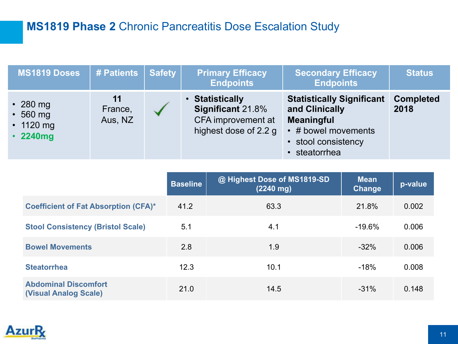## **MS1819 Phase 2** Chronic Pancreatitis Dose Escalation Study

| <b>MS1819 Doses</b>                                                   | # Patients               | <b>Safety</b> | <b>Primary Efficacy</b><br><b>Endpoints</b>                                                | <b>Secondary Efficacy</b><br><b>Endpoints</b>                                                                                          | <b>Status</b>            |
|-----------------------------------------------------------------------|--------------------------|---------------|--------------------------------------------------------------------------------------------|----------------------------------------------------------------------------------------------------------------------------------------|--------------------------|
| $\cdot$ 280 mg<br>$\cdot$ 560 mg<br>$\cdot$ 1120 mg<br>$\cdot$ 2240mg | 11<br>France,<br>Aus, NZ |               | • Statistically<br><b>Significant 21.8%</b><br>CFA improvement at<br>highest dose of 2.2 g | <b>Statistically Significant</b><br>and Clinically<br><b>Meaningful</b><br>• # bowel movements<br>• stool consistency<br>• steatorrhea | <b>Completed</b><br>2018 |

|                                                             | <b>Baseline</b> | @ Highest Dose of MS1819-SD<br>$(2240 \text{ mg})$ | <b>Mean</b><br><b>Change</b> | p-value |
|-------------------------------------------------------------|-----------------|----------------------------------------------------|------------------------------|---------|
| <b>Coefficient of Fat Absorption (CFA)*</b>                 | 41.2            | 63.3                                               | 21.8%                        | 0.002   |
| <b>Stool Consistency (Bristol Scale)</b>                    | 5.1             | 4.1                                                | $-19.6%$                     | 0.006   |
| <b>Bowel Movements</b>                                      | 2.8             | 1.9                                                | $-32%$                       | 0.006   |
| <b>Steatorrhea</b>                                          | 12.3            | 10.1                                               | $-18%$                       | 0.008   |
| <b>Abdominal Discomfort</b><br><b>(Visual Analog Scale)</b> | 21.0            | 14.5                                               | $-31%$                       | 0.148   |

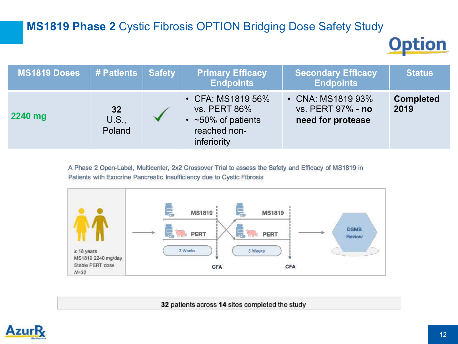## **MS1819 Phase 2** Cystic Fibrosis OPTION Bridging Dose Safety Study

**Option** 

| MS1819 Doses | # Patients Safety            | <b>Primary Efficacy</b><br><b>Endpoints</b>                                                         | <b>Secondary Efficacy</b><br><b>Endpoints</b>               | <b>Status</b>            |
|--------------|------------------------------|-----------------------------------------------------------------------------------------------------|-------------------------------------------------------------|--------------------------|
| 2240 mg      | 32<br><b>U.S.,</b><br>Poland | • CFA: MS1819 56%<br><b>vs. PERT 86%</b><br>$\cdot$ ~50% of patients<br>reached non-<br>inferiority | • CNA: MS1819 93%<br>vs. PERT 97% - no<br>need for protease | <b>Completed</b><br>2019 |

A Phase 2 Open-Label, Multicenter, 2x2 Crossover Trial to assess the Safety and Efficacy of MS1819 in Patients with Exocrine Pancreatic Insufficiency due to Cystic Fibrosis



32 patients across 14 sites completed the study

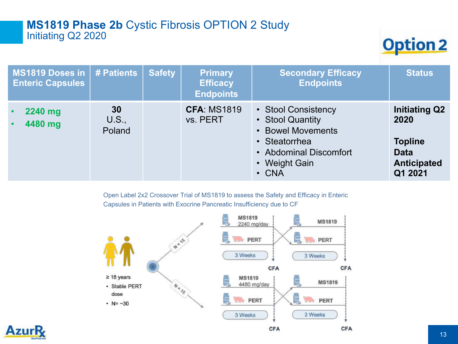### **MS1819 Phase 2b** Cystic Fibrosis OPTION 2 Study Initiating Q2 2020

**Option 2** 

| MS1819 Doses in   # Patients  <br><b>Enteric Capsules</b> |                       | <b>Safety</b> | <b>Primary</b><br><b>Efficacy</b><br><b>Endpoints</b> | <b>Secondary Efficacy</b><br><b>Endpoints</b>                                                                                           | <b>Status</b>                                                                                  |
|-----------------------------------------------------------|-----------------------|---------------|-------------------------------------------------------|-----------------------------------------------------------------------------------------------------------------------------------------|------------------------------------------------------------------------------------------------|
| 2240 mg<br>$\bullet$<br>4480 mg<br>$\bullet$              | 30<br>U.S.,<br>Poland |               | <b>CFA: MS1819</b><br>vs. PERT                        | • Stool Consistency<br>• Stool Quantity<br>• Bowel Movements<br>• Steatorrhea<br>• Abdominal Discomfort<br>• Weight Gain<br>$\cdot$ CNA | <b>Initiating Q2</b><br>2020<br><b>Topline</b><br><b>Data</b><br><b>Anticipated</b><br>Q1 2021 |

Open Label 2x2 Crossover Trial of MS1819 to assess the Safety and Efficacy in Enteric Capsules in Patients with Exocrine Pancreatic Insufficiency due to CF



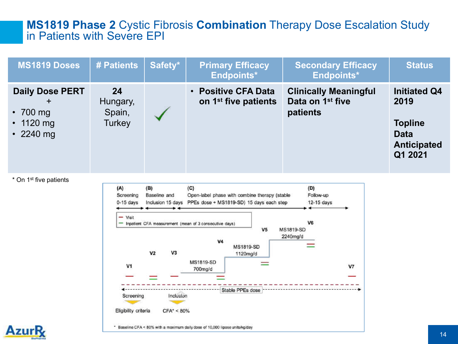### **MS1819 Phase 2** Cystic Fibrosis **Combination** Therapy Dose Escalation Study in Patients with Severe EPI

| <b>MS1819 Doses</b>                                                               | # Patients                                | Safety* | <b>Primary Efficacy</b><br><b>Endpoints*</b>            | <b>Secondary Efficacy</b><br>Endpoints*                                  | <b>Status</b>                                                                                 |
|-----------------------------------------------------------------------------------|-------------------------------------------|---------|---------------------------------------------------------|--------------------------------------------------------------------------|-----------------------------------------------------------------------------------------------|
| <b>Daily Dose PERT</b><br>$\pm$<br>$\cdot$ 700 mg<br>• 1120 mg<br>$\cdot$ 2240 mg | 24<br>Hungary,<br>Spain,<br><b>Turkey</b> |         | • Positive CFA Data<br>on 1 <sup>st</sup> five patients | <b>Clinically Meaningful</b><br>Data on 1 <sup>st</sup> five<br>patients | <b>Initiated Q4</b><br>2019<br><b>Topline</b><br><b>Data</b><br><b>Anticipated</b><br>Q1 2021 |

\* On 1st five patients



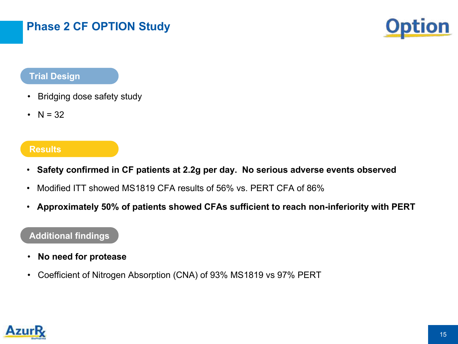## **Phase 2 CF OPTION Study**



### **Trial Design**

- Bridging dose safety study
- $N = 32$

#### **Results**

- **Safety confirmed in CF patients at 2.2g per day. No serious adverse events observed**
- Modified ITT showed MS1819 CFA results of 56% vs. PERT CFA of 86%
- **Approximately 50% of patients showed CFAs sufficient to reach non-inferiority with PERT**

### **Additional findings**

- **No need for protease**
- Coefficient of Nitrogen Absorption (CNA) of 93% MS1819 vs 97% PERT

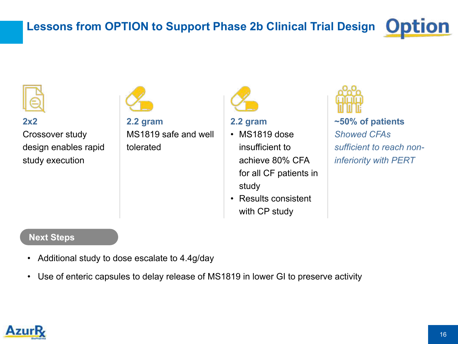#### **Lessons from OPTION to Support Phase 2b Clinical Trial Designion**



**2x2** 

Crossover study design enables rapid study execution





**2.2 gram**

- MS1819 dose insufficient to achieve 80% CFA for all CF patients in study
- Results consistent with CP study



**~50% of patients**  *Showed CFAs sufficient to reach noninferiority with PERT*

#### **Next Steps**

- Additional study to dose escalate to 4.4g/day
- Use of enteric capsules to delay release of MS1819 in lower GI to preserve activity

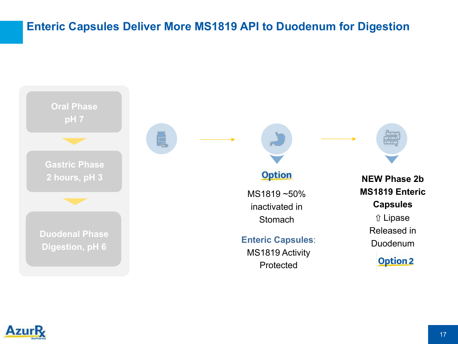### **Enteric Capsules Deliver More MS1819 API to Duodenum for Digestion**



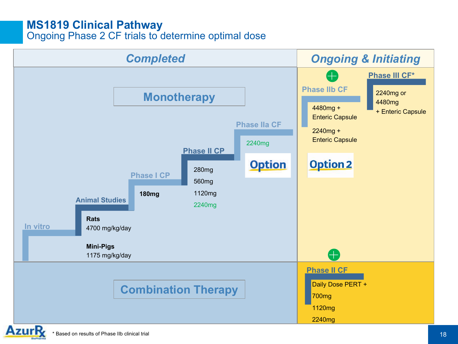### **MS1819 Clinical Pathway**

Ongoing Phase 2 CF trials to determine optimal dose

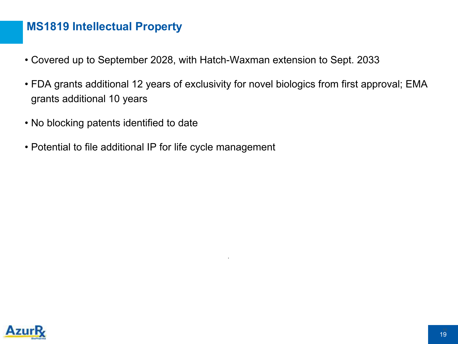### **MS1819 Intellectual Property**

- Covered up to September 2028, with Hatch-Waxman extension to Sept. 2033
- FDA grants additional 12 years of exclusivity for novel biologics from first approval; EMA grants additional 10 years

.

- No blocking patents identified to date
- Potential to file additional IP for life cycle management

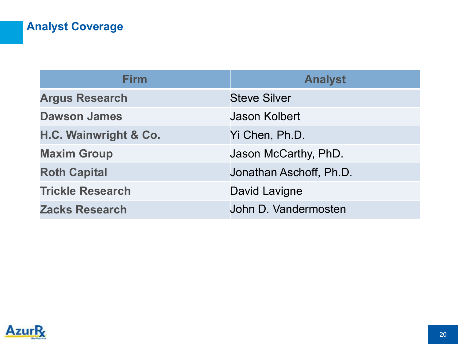# **Analyst Coverage**

| <b>Firm</b>             | <b>Analyst</b>          |
|-------------------------|-------------------------|
| <b>Argus Research</b>   | <b>Steve Silver</b>     |
| <b>Dawson James</b>     | <b>Jason Kolbert</b>    |
| H.C. Wainwright & Co.   | Yi Chen, Ph.D.          |
| <b>Maxim Group</b>      | Jason McCarthy, PhD.    |
| <b>Roth Capital</b>     | Jonathan Aschoff, Ph.D. |
| <b>Trickle Research</b> | David Lavigne           |
| <b>Zacks Research</b>   | John D. Vandermosten    |

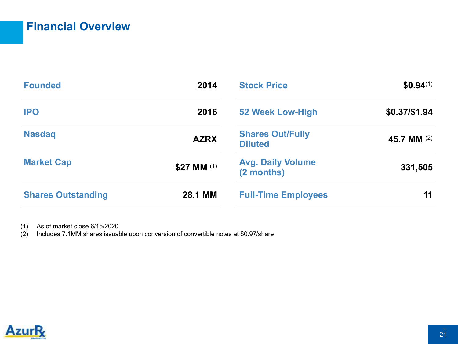## **Financial Overview**

| <b>Founded</b>            | 2014        | <b>Stock Price</b>                        | $$0.94^{(1)}$ |
|---------------------------|-------------|-------------------------------------------|---------------|
| <b>IPO</b>                | 2016        | 52 Week Low-High                          | \$0.37/\$1.94 |
| <b>Nasdaq</b>             | <b>AZRX</b> | <b>Shares Out/Fully</b><br><b>Diluted</b> | 45.7 MM (2)   |
| <b>Market Cap</b>         | \$27 MM (1) | <b>Avg. Daily Volume</b><br>(2 months)    | 331,505       |
| <b>Shares Outstanding</b> | 28.1 MM     | <b>Full-Time Employees</b>                | 11            |

(1) As of market close 6/15/2020

 $(2)$  Includes 7.1MM shares issuable upon conversion of convertible notes at \$0.97/share

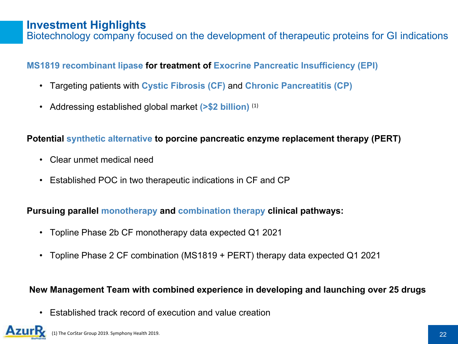### **Investment Highlights**

Biotechnology company focused on the development of therapeutic proteins for GI indications

### **MS1819 recombinant lipase for treatment of Exocrine Pancreatic Insufficiency (EPI)**

- Targeting patients with **Cystic Fibrosis (CF)** and **Chronic Pancreatitis (CP)**
- Addressing established global market **(>\$2 billion)** (1)

### **Potential synthetic alternative to porcine pancreatic enzyme replacement therapy (PERT)**

- Clear unmet medical need
- Established POC in two therapeutic indications in CF and CP

### **Pursuing parallel monotherapy and combination therapy clinical pathways:**

- Topline Phase 2b CF monotherapy data expected Q1 2021
- Topline Phase 2 CF combination (MS1819 + PERT) therapy data expected Q1 2021

### **New Management Team with combined experience in developing and launching over 25 drugs**

• Established track record of execution and value creation

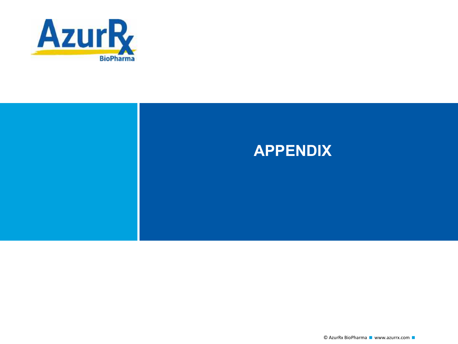

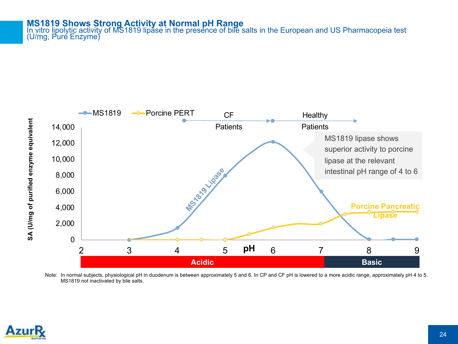#### **MS1819 Shows Strong Activity at Normal pH Range**

In vitro lipolytic activity of MS1819 lipase in the presence of bile salts in the European and US Pharmacopeia test<br>(U/mg, Pure Enzyme)



Note: In normal subjects, physiological pH in duodenum is between approximately 5 and 6. In CP and CF pH is lowered to a more acidic range, approximately pH 4 to 5. MS1819 not inactivated by bile salts.

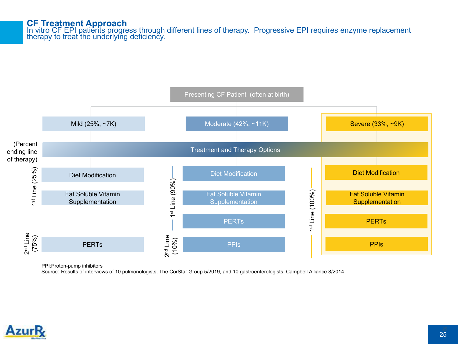#### **CF Treatment Approach**

In vitro CF EPI patients progress through different lines of therapy. Progressive EPI requires enzyme replacement<br>therapy to treat the underlying deficiency.



PPI:Proton-pump inhibitors

Source: Results of interviews of 10 pulmonologists, The CorStar Group 5/2019, and 10 gastroenterologists, Campbell Alliance 8/2014

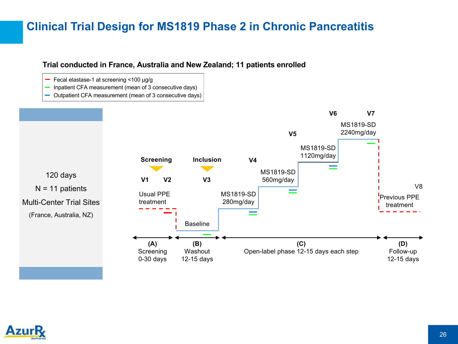### **Clinical Trial Design for MS1819 Phase 2 in Chronic Pancreatitis**

#### **Trial conducted in France, Australia and New Zealand; 11 patients enrolled**

- Fecal elastase-1 at screening <100 µg/g
- Inpatient CFA measurement (mean of 3 consecutive days) Ξ.
- Outpatient CFA measurement (mean of 3 consecutive days)



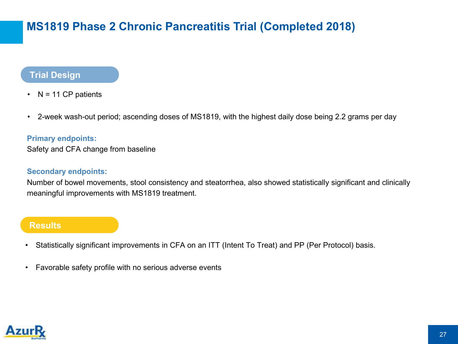## **MS1819 Phase 2 Chronic Pancreatitis Trial (Completed 2018)**

### **Trial Design**

- $N = 11$  CP patients
- 2-week wash-out period; ascending doses of MS1819, with the highest daily dose being 2.2 grams per day

#### **Primary endpoints:**

Safety and CFA change from baseline

#### **Secondary endpoints:**

Number of bowel movements, stool consistency and steatorrhea, also showed statistically significant and clinically meaningful improvements with MS1819 treatment.

#### **Results**

- Statistically significant improvements in CFA on an ITT (Intent To Treat) and PP (Per Protocol) basis.
- Favorable safety profile with no serious adverse events

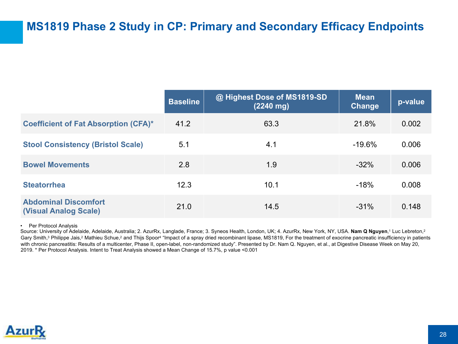### **MS1819 Phase 2 Study in CP: Primary and Secondary Efficacy Endpoints**

|                                                             | <b>Baseline</b> | @ Highest Dose of MS1819-SD<br>$(2240 \text{ mg})$ | <b>Mean</b><br>Change | p-value |
|-------------------------------------------------------------|-----------------|----------------------------------------------------|-----------------------|---------|
| <b>Coefficient of Fat Absorption (CFA)*</b>                 | 41.2            | 63.3                                               | 21.8%                 | 0.002   |
| <b>Stool Consistency (Bristol Scale)</b>                    | 5.1             | 4.1                                                | $-19.6%$              | 0.006   |
| <b>Bowel Movements</b>                                      | 2.8             | 1.9                                                | $-32%$                | 0.006   |
| <b>Steatorrhea</b>                                          | 12.3            | 10.1                                               | $-18%$                | 0.008   |
| <b>Abdominal Discomfort</b><br><b>(Visual Analog Scale)</b> | 21.0            | 14.5                                               | $-31%$                | 0.148   |

• Per Protocol Analysis

Source: University of Adelaide, Adelaide, Australia; 2. AzurRx, Langlade, France; 3. Syneos Health, London, UK; 4. AzurRx, New York, NY, USA. **Nam Q Nguyen**,1 Luc Lebreton,2 Gary Smith,<sup>3</sup> Philippe Jais,<sup>2</sup> Mathieu Schue,<sup>2</sup> and Thijs Spoor<sup>4</sup> "Impact of a spray dried recombinant lipase, MS1819, For the treatment of exocrine pancreatic insufficiency in patients with chronic pancreatitis: Results of a multicenter, Phase II, open-label, non-randomized study". Presented by Dr. Nam Q. Nguyen, et al., at Digestive Disease Week on May 20, 2019. \* Per Protocol Analysis. Intent to Treat Analysis showed a Mean Change of 15.7%, p value <0.001

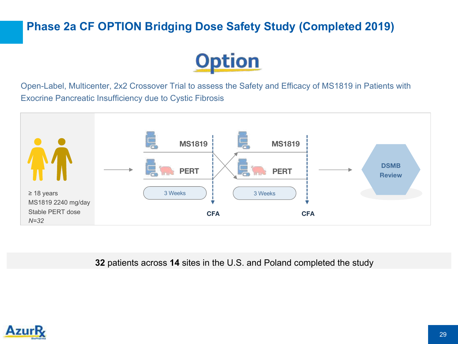## **Phase 2a CF OPTION Bridging Dose Safety Study (Completed 2019)**



Open-Label, Multicenter, 2x2 Crossover Trial to assess the Safety and Efficacy of MS1819 in Patients with Exocrine Pancreatic Insufficiency due to Cystic Fibrosis



**32** patients across **14** sites in the U.S. and Poland completed the study

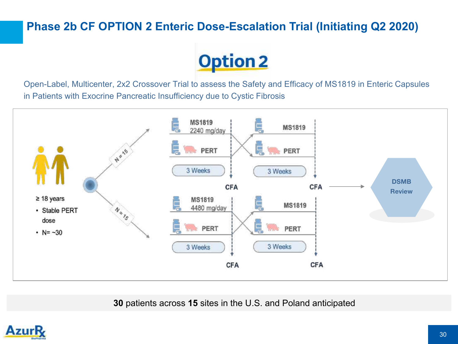## **Phase 2b CF OPTION 2 Enteric Dose-Escalation Trial (Initiating Q2 2020)**



Open-Label, Multicenter, 2x2 Crossover Trial to assess the Safety and Efficacy of MS1819 in Enteric Capsules in Patients with Exocrine Pancreatic Insufficiency due to Cystic Fibrosis



**30** patients across **15** sites in the U.S. and Poland anticipated

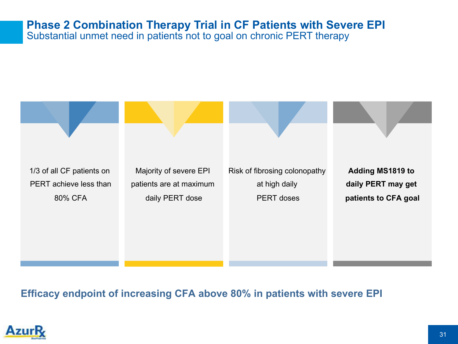# **Phase 2 Combination Therapy Trial in CF Patients with Severe EPI**

Substantial unmet need in patients not to goal on chronic PERT therapy



**Efficacy endpoint of increasing CFA above 80% in patients with severe EPI**